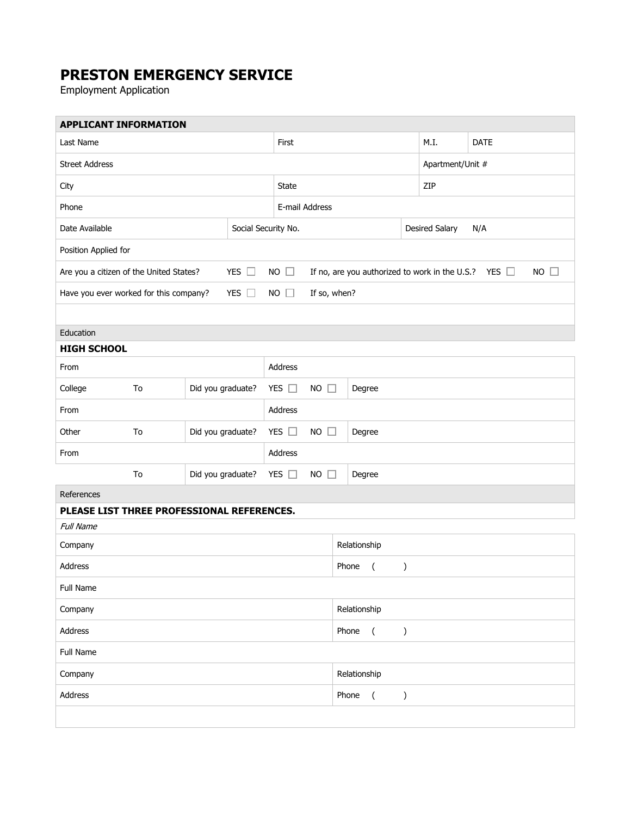## **PRESTON EMERGENCY SERVICE**

Employment Application

**Contract Contract** 

| <b>APPLICANT INFORMATION</b>                                                                     |                         |                                                                             |  |               |                               |                                                   |  |                              |                  |             |  |
|--------------------------------------------------------------------------------------------------|-------------------------|-----------------------------------------------------------------------------|--|---------------|-------------------------------|---------------------------------------------------|--|------------------------------|------------------|-------------|--|
| Last Name                                                                                        |                         |                                                                             |  | First         |                               |                                                   |  |                              | M.I.             | <b>DATE</b> |  |
| <b>Street Address</b>                                                                            |                         |                                                                             |  |               |                               |                                                   |  |                              | Apartment/Unit # |             |  |
| City                                                                                             |                         |                                                                             |  |               | <b>State</b>                  |                                                   |  |                              | ZIP              |             |  |
| Phone                                                                                            |                         |                                                                             |  |               | E-mail Address                |                                                   |  |                              |                  |             |  |
| Date Available<br>Social Security No.                                                            |                         |                                                                             |  |               |                               |                                                   |  | <b>Desired Salary</b><br>N/A |                  |             |  |
| Position Applied for                                                                             |                         |                                                                             |  |               |                               |                                                   |  |                              |                  |             |  |
| Are you a citizen of the United States?                                                          | <b>NO</b><br>$\Box$     | $NO$ $\Box$<br>If no, are you authorized to work in the U.S.?<br>YES $\Box$ |  |               |                               |                                                   |  |                              |                  |             |  |
| YES $\square$<br>Have you ever worked for this company?<br><b>NO</b><br>If so, when?<br>$\sqcup$ |                         |                                                                             |  |               |                               |                                                   |  |                              |                  |             |  |
|                                                                                                  |                         |                                                                             |  |               |                               |                                                   |  |                              |                  |             |  |
| Education                                                                                        |                         |                                                                             |  |               |                               |                                                   |  |                              |                  |             |  |
| <b>HIGH SCHOOL</b>                                                                               |                         |                                                                             |  |               |                               |                                                   |  |                              |                  |             |  |
| From                                                                                             |                         |                                                                             |  | Address       |                               |                                                   |  |                              |                  |             |  |
| College                                                                                          | To                      | Did you graduate?                                                           |  | YES $\square$ | <b>NO</b><br>$\Box$           | Degree                                            |  |                              |                  |             |  |
| From                                                                                             |                         |                                                                             |  |               | Address                       |                                                   |  |                              |                  |             |  |
| Other                                                                                            | Did you graduate?<br>To |                                                                             |  | YES $\square$ | <b>NO</b><br>$\Box$           | Degree                                            |  |                              |                  |             |  |
| From                                                                                             |                         |                                                                             |  | Address       |                               |                                                   |  |                              |                  |             |  |
|                                                                                                  | Did you graduate?<br>To |                                                                             |  | YES $\square$ | <b>NO</b><br>Degree<br>$\Box$ |                                                   |  |                              |                  |             |  |
| References                                                                                       |                         |                                                                             |  |               |                               |                                                   |  |                              |                  |             |  |
| PLEASE LIST THREE PROFESSIONAL REFERENCES.                                                       |                         |                                                                             |  |               |                               |                                                   |  |                              |                  |             |  |
| <b>Full Name</b>                                                                                 |                         |                                                                             |  |               |                               |                                                   |  |                              |                  |             |  |
| Company                                                                                          |                         |                                                                             |  |               |                               | Relationship                                      |  |                              |                  |             |  |
| Address                                                                                          |                         |                                                                             |  |               |                               | Phone<br>$\overline{ }$<br>$\mathcal{C}^{\prime}$ |  |                              |                  |             |  |
| Full Name                                                                                        |                         |                                                                             |  |               |                               |                                                   |  |                              |                  |             |  |
| Company                                                                                          |                         |                                                                             |  |               |                               | Relationship                                      |  |                              |                  |             |  |
| Address                                                                                          |                         |                                                                             |  |               |                               | Phone<br>$\overline{(\ }$<br>)                    |  |                              |                  |             |  |
| Full Name                                                                                        |                         |                                                                             |  |               |                               |                                                   |  |                              |                  |             |  |
| Company                                                                                          |                         |                                                                             |  |               |                               | Relationship                                      |  |                              |                  |             |  |
| Address                                                                                          |                         |                                                                             |  |               |                               | Phone<br>$\overline{(\ }$<br>)                    |  |                              |                  |             |  |
|                                                                                                  |                         |                                                                             |  |               |                               |                                                   |  |                              |                  |             |  |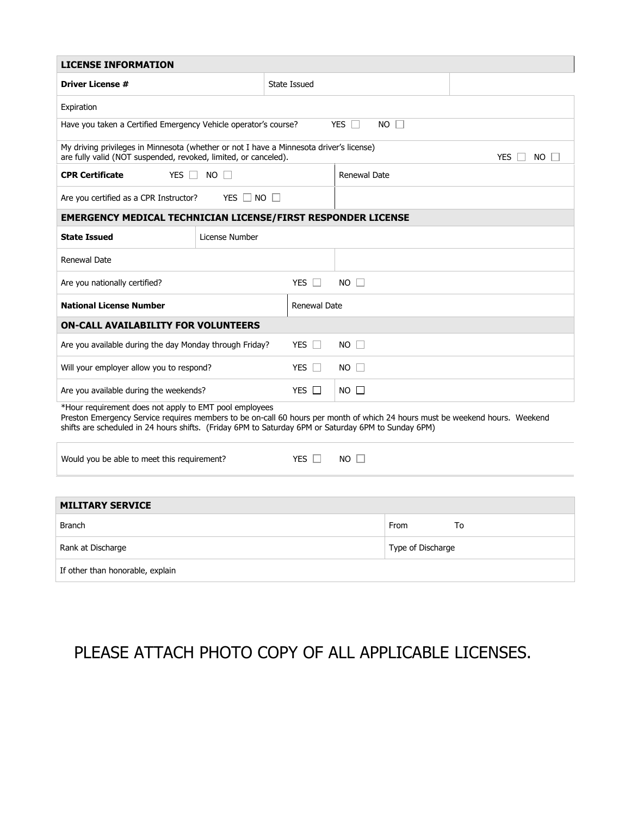| <b>LICENSE INFORMATION</b>                                                                                                                                                                                                                                                                    |                      |                     |                   |                     |      |    |  |  |  |
|-----------------------------------------------------------------------------------------------------------------------------------------------------------------------------------------------------------------------------------------------------------------------------------------------|----------------------|---------------------|-------------------|---------------------|------|----|--|--|--|
| <b>Driver License #</b>                                                                                                                                                                                                                                                                       | State Issued         |                     |                   |                     |      |    |  |  |  |
| Expiration                                                                                                                                                                                                                                                                                    |                      |                     |                   |                     |      |    |  |  |  |
| $NO \Box$<br>YES $\square$<br>Have you taken a Certified Emergency Vehicle operator's course?                                                                                                                                                                                                 |                      |                     |                   |                     |      |    |  |  |  |
| My driving privileges in Minnesota (whether or not I have a Minnesota driver's license)<br>are fully valid (NOT suspended, revoked, limited, or canceled).<br><b>YES</b><br>NO.                                                                                                               |                      |                     |                   |                     |      |    |  |  |  |
| <b>CPR Certificate</b><br>YES <b>I</b>                                                                                                                                                                                                                                                        | $NO$ $\Box$          | <b>Renewal Date</b> |                   |                     |      |    |  |  |  |
| Are you certified as a CPR Instructor?                                                                                                                                                                                                                                                        | YES $\Box$ NO $\Box$ |                     |                   |                     |      |    |  |  |  |
| <b>EMERGENCY MEDICAL TECHNICIAN LICENSE/FIRST RESPONDER LICENSE</b>                                                                                                                                                                                                                           |                      |                     |                   |                     |      |    |  |  |  |
| <b>State Issued</b>                                                                                                                                                                                                                                                                           | License Number       |                     |                   |                     |      |    |  |  |  |
| Renewal Date                                                                                                                                                                                                                                                                                  |                      |                     |                   |                     |      |    |  |  |  |
| Are you nationally certified?                                                                                                                                                                                                                                                                 | YES $\Box$           | $NO$ $\Box$         |                   |                     |      |    |  |  |  |
| <b>National License Number</b>                                                                                                                                                                                                                                                                |                      |                     |                   | <b>Renewal Date</b> |      |    |  |  |  |
| <b>ON-CALL AVAILABILITY FOR VOLUNTEERS</b>                                                                                                                                                                                                                                                    |                      |                     |                   |                     |      |    |  |  |  |
| Are you available during the day Monday through Friday?<br>YES $\Box$                                                                                                                                                                                                                         |                      |                     |                   | $NO$ $\Box$         |      |    |  |  |  |
| Will your employer allow you to respond?                                                                                                                                                                                                                                                      | YES $\Box$           | $NO \Box$           |                   |                     |      |    |  |  |  |
| Are you available during the weekends?                                                                                                                                                                                                                                                        | YES $\Box$           | $NO$ $\Box$         |                   |                     |      |    |  |  |  |
| *Hour requirement does not apply to EMT pool employees<br>Preston Emergency Service requires members to be on-call 60 hours per month of which 24 hours must be weekend hours. Weekend<br>shifts are scheduled in 24 hours shifts. (Friday 6PM to Saturday 6PM or Saturday 6PM to Sunday 6PM) |                      |                     |                   |                     |      |    |  |  |  |
| Would you be able to meet this requirement?                                                                                                                                                                                                                                                   | YES I                | $NO$ $\Box$         |                   |                     |      |    |  |  |  |
|                                                                                                                                                                                                                                                                                               |                      |                     |                   |                     |      |    |  |  |  |
| <b>MILITARY SERVICE</b>                                                                                                                                                                                                                                                                       |                      |                     |                   |                     |      |    |  |  |  |
| <b>Branch</b>                                                                                                                                                                                                                                                                                 |                      |                     |                   |                     | From | To |  |  |  |
| Rank at Discharge                                                                                                                                                                                                                                                                             |                      |                     | Type of Discharge |                     |      |    |  |  |  |
| If other than honorable, explain                                                                                                                                                                                                                                                              |                      |                     |                   |                     |      |    |  |  |  |

## PLEASE ATTACH PHOTO COPY OF ALL APPLICABLE LICENSES.